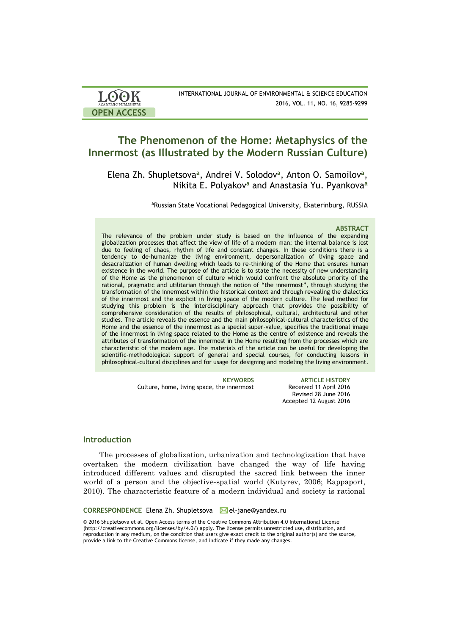| <b>LOOK</b>                | INTERNATIONAL JOURNAL OF ENVIRONMENTAL & SCIENCE EDUCATION |
|----------------------------|------------------------------------------------------------|
| <b>ACADEMIC PUBLISHERS</b> | 2016, VOL. 11, NO. 16, 9285-9299                           |
| <b>OPEN ACCESS</b>         |                                                            |

# **The Phenomenon of the Home: Metaphysics of the Innermost (as Illustrated by the Modern Russian Culture)**

Elena Zh. Shupletsova**<sup>a</sup>** , Andrei V. Solodov**<sup>a</sup>** , Anton O. Samoilov**<sup>a</sup>** , Nikita Е. Polyakov**<sup>a</sup>** and Anastasia Yu. Pyankova**<sup>a</sup>**

aRussian State Vocational Pedagogical University, Ekaterinburg, RUSSIA

## **ABSTRACT**

The relevance of the problem under study is based on the influence of the expanding globalization processes that affect the view of life of a modern man: the internal balance is lost due to feeling of chaos, rhythm of life and constant changes. In these conditions there is a tendency to de-humanize the living environment, depersonalization of living space and desacralization of human dwelling which leads to re-thinking of the Home that ensures human existence in the world. The purpose of the article is to state the necessity of new understanding of the Home as the phenomenon of culture which would confront the absolute priority of the rational, pragmatic and utilitarian through the notion of "the innermost", through studying the transformation of the innermost within the historical context and through revealing the dialectics of the innermost and the explicit in living space of the modern culture. The lead method for studying this problem is the interdisciplinary approach that provides the possibility of comprehensive consideration of the results of philosophical, cultural, architectural and other studies. The article reveals the essence and the main philosophical-cultural characteristics of the Home and the essence of the innermost as a special super-value, specifies the traditional image of the innermost in living space related to the Home as the centre of existence and reveals the attributes of transformation of the innermost in the Home resulting from the processes which are characteristic of the modern age. The materials of the article can be useful for developing the scientific-methodological support of general and special courses, for conducting lessons in philosophical-cultural disciplines and for usage for designing and modeling the living environment.

Culture, home, living space, the innermost Received 11 April 2016

**KEYWORDS ARTICLE HISTORY** Revised 28 June 2016 Accepted 12 August 2016

## **Introduction**

The processes of globalization, urbanization and technologization that have overtaken the modern civilization have changed the way of life having introduced different values and disrupted the sacred link between the inner world of a person and the objective-spatial world (Kutyrev, 2006; Rappaport, 2010). The characteristic feature of a modern individual and society is rational

### **CORRESPONDENCE** Elena Zh. Shupletsova **el-jane@yandex.ru**

© 2016 Shupletsova et al. Open Access terms of the Creative Commons Attribution 4.0 International License (http://creativecommons.org/licenses/by/4.0/) apply. The license permits unrestricted use, distribution, and reproduction in any medium, on the condition that users give exact credit to the original author(s) and the source, provide a link to the Creative Commons license, and indicate if they made any changes.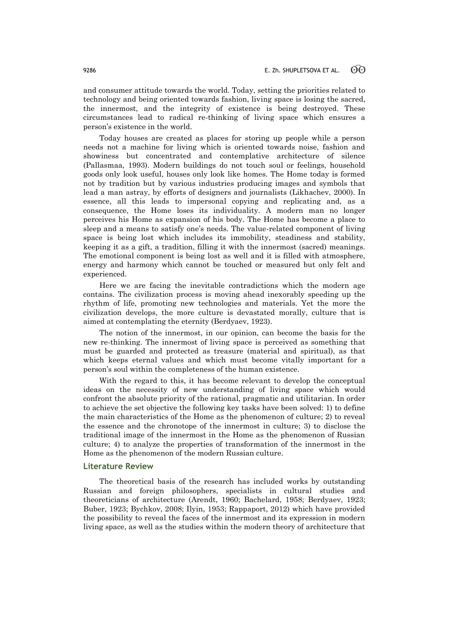and consumer attitude towards the world. Today, setting the priorities related to technology and being oriented towards fashion, living space is losing the sacred, the innermost, and the integrity of existence is being destroyed. These circumstances lead to radical re-thinking of living space which ensures a person's existence in the world.

Today houses are created as places for storing up people while a person needs not a machine for living which is oriented towards noise, fashion and showiness but concentrated and contemplative architecture of silence (Pallasmaa, 1993). Modern buildings do not touch soul or feelings, household goods only look useful, houses only look like homes. The Home today is formed not by tradition but by various industries producing images and symbols that lead a man astray, by efforts of designers and journalists (Likhachev, 2000). In essence, all this leads to impersonal copying and replicating and, as a consequence, the Home loses its individuality. A modern man no longer perceives his Home as expansion of his body. The Home has become a place to sleep and a means to satisfy one's needs. The value-related component of living space is being lost which includes its immobility, steadiness and stability, keeping it as a gift, a tradition, filling it with the innermost (sacred) meanings. The emotional component is being lost as well and it is filled with atmosphere, energy and harmony which cannot be touched or measured but only felt and experienced.

Here we are facing the inevitable contradictions which the modern age contains. The civilization process is moving ahead inexorably speeding up the rhythm of life, promoting new technologies and materials. Yet the more the civilization develops, the more culture is devastated morally, culture that is aimed at contemplating the eternity (Berdyaev, 1923).

The notion of the innermost, in our opinion, can become the basis for the new re-thinking. The innermost of living space is perceived as something that must be guarded and protected as treasure (material and spiritual), as that which keeps eternal values and which must become vitally important for a person's soul within the completeness of the human existence.

With the regard to this, it has become relevant to develop the conceptual ideas on the necessity of new understanding of living space which would confront the absolute priority of the rational, pragmatic and utilitarian. In order to achieve the set objective the following key tasks have been solved: 1) to define the main characteristics of the Home as the phenomenon of culture; 2) to reveal the essence and the chronotope of the innermost in culture; 3) to disclose the traditional image of the innermost in the Home as the phenomenon of Russian culture; 4) to analyze the properties of transformation of the innermost in the Home as the phenomenon of the modern Russian culture.

## **Literature Review**

The theoretical basis of the research has included works by outstanding Russian and foreign philosophers, specialists in cultural studies and theoreticians of architecture (Arendt, 1960; Bachelard, 1958; Berdyaev, 1923; Buber, 1923; Bychkov, 2008; Ilyin, 1953; Rappaport, 2012) which have provided the possibility to reveal the faces of the innermost and its expression in modern living space, as well as the studies within the modern theory of architecture that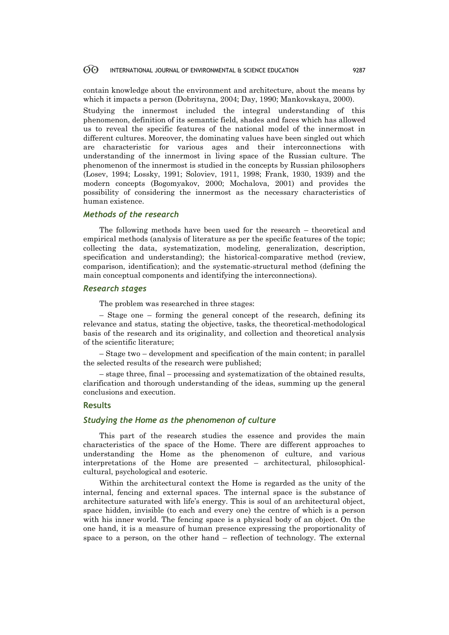contain knowledge about the environment and architecture, about the means by which it impacts a person (Dobritsyna, 2004; Day, 1990; Mankovskaya, 2000).

Studying the innermost included the integral understanding of this phenomenon, definition of its semantic field, shades and faces which has allowed us to reveal the specific features of the national model of the innermost in different cultures. Moreover, the dominating values have been singled out which are characteristic for various ages and their interconnections with understanding of the innermost in living space of the Russian culture. The phenomenon of the innermost is studied in the concepts by Russian philosophers (Losev, 1994; Lossky, 1991; Soloviev, 1911, 1998; Frank, 1930, 1939) and the modern concepts (Bogomyakov, 2000; Mochalova, 2001) and provides the possibility of considering the innermost as the necessary characteristics of human existence.

## *Methods of the research*

The following methods have been used for the research – theoretical and empirical methods (analysis of literature as per the specific features of the topic; collecting the data, systematization, modeling, generalization, description, specification and understanding); the historical-comparative method (review, comparison, identification); and the systematic-structural method (defining the main conceptual components and identifying the interconnections).

## *Research stages*

The problem was researched in three stages:

– Stage one – forming the general concept of the research, defining its relevance and status, stating the objective, tasks, the theoretical-methodological basis of the research and its originality, and collection and theoretical analysis of the scientific literature;

– Stage two – development and specification of the main content; in parallel the selected results of the research were published;

– stage three, final – processing and systematization of the obtained results, clarification and thorough understanding of the ideas, summing up the general conclusions and execution.

## **Results**

## *Studying the Home as the phenomenon of culture*

This part of the research studies the essence and provides the main characteristics of the space of the Home. There are different approaches to understanding the Home as the phenomenon of culture, and various interpretations of the Home are presented – architectural, philosophicalcultural, psychological and esoteric.

Within the architectural context the Home is regarded as the unity of the internal, fencing and external spaces. The internal space is the substance of architecture saturated with life's energy. This is soul of an architectural object, space hidden, invisible (to each and every one) the centre of which is a person with his inner world. The fencing space is a physical body of an object. On the one hand, it is a measure of human presence expressing the proportionality of space to a person, on the other hand – reflection of technology. The external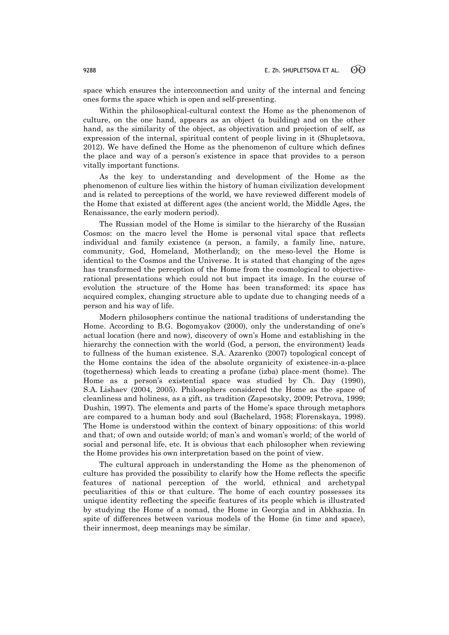space which ensures the interconnection and unity of the internal and fencing ones forms the space which is open and self-presenting.

Within the philosophical-cultural context the Home as the phenomenon of culture, on the one hand, appears as an object (a building) and on the other hand, as the similarity of the object, as objectivation and projection of self, as expression of the internal, spiritual content of people living in it (Shupletsova, 2012). We have defined the Home as the phenomenon of culture which defines the place and way of a person's existence in space that provides to a person vitally important functions.

As the key to understanding and development of the Home as the phenomenon of culture lies within the history of human civilization development and is related to perceptions of the world, we have reviewed different models of the Home that existed at different ages (the ancient world, the Middle Ages, the Renaissance, the early modern period).

The Russian model of the Home is similar to the hierarchy of the Russian Cosmos: on the macro level the Home is personal vital space that reflects individual and family existence (a person, a family, a family line, nature, community, God, Homeland, Motherland); on the meso-level the Home is identical to the Cosmos and the Universe. It is stated that changing of the ages has transformed the perception of the Home from the cosmological to objectiverational presentations which could not but impact its image. In the course of evolution the structure of the Home has been transformed: its space has acquired complex, changing structure able to update due to changing needs of a person and his way of life.

Modern philosophers continue the national traditions of understanding the Home. According to B.G. Bogomyakov (2000), only the understanding of one's actual location (here and now), discovery of own's Home and establishing in the hierarchy the connection with the world (God, a person, the environment) leads to fullness of the human existence. S.A. Azarenko (2007) topological concept of the Home contains the idea of the absolute organicity of existence-in-a-place (togetherness) which leads to creating a profane (izba) place-ment (home). The Home as a person's existential space was studied by Ch. Day (1990), S.A. Lishaev (2004, 2005). Philosophers considered the Home as the space of cleanliness and holiness, as a gift, as tradition (Zapesotsky, 2009; Petrova, 1999; Dushin, 1997). The elements and parts of the Home's space through metaphors are compared to a human body and soul (Bachelard, 1958; Florenskaya, 1998). The Home is understood within the context of binary oppositions: of this world and that; of own and outside world; of man's and woman's world; of the world of social and personal life, etc. It is obvious that each philosopher when reviewing the Home provides his own interpretation based on the point of view.

The cultural approach in understanding the Home as the phenomenon of culture has provided the possibility to clarify how the Home reflects the specific features of national perception of the world, ethnical and archetypal peculiarities of this or that culture. The home of each country possesses its unique identity reflecting the specific features of its people which is illustrated by studying the Home of a nomad, the Home in Georgia and in Abkhazia. In spite of differences between various models of the Home (in time and space), their innermost, deep meanings may be similar.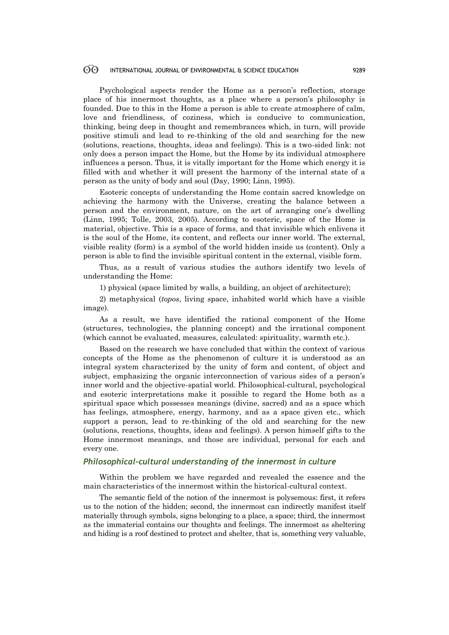Psychological aspects render the Home as a person's reflection, storage place of his innermost thoughts, as a place where a person's philosophy is founded. Due to this in the Home a person is able to create atmosphere of calm, love and friendliness, of coziness, which is conducive to communication, thinking, being deep in thought and remembrances which, in turn, will provide positive stimuli and lead to re-thinking of the old and searching for the new (solutions, reactions, thoughts, ideas and feelings). This is a two-sided link: not only does a person impact the Home, but the Home by its individual atmosphere influences a person. Thus, it is vitally important for the Home which energy it is filled with and whether it will present the harmony of the internal state of a person as the unity of body and soul (Day, 1990; Linn, 1995).

Esoteric concepts of understanding the Home contain sacred knowledge on achieving the harmony with the Universe, creating the balance between a person and the environment, nature, on the art of arranging one's dwelling (Linn, 1995; Tolle, 2003, 2005). According to esoteric, space of the Home is material, objective. This is a space of forms, and that invisible which enlivens it is the soul of the Home, its content, and reflects our inner world. The external, visible reality (form) is a symbol of the world hidden inside us (content). Only a person is able to find the invisible spiritual content in the external, visible form.

Thus, as a result of various studies the authors identify two levels of understanding the Home:

1) physical (space limited by walls, a building, an object of architecture);

2) metaphysical (*topos*, living space, inhabited world which have a visible image).

As a result, we have identified the rational component of the Home (structures, technologies, the planning concept) and the irrational component (which cannot be evaluated, measures, calculated: spirituality, warmth etc.).

Based on the research we have concluded that within the context of various concepts of the Home as the phenomenon of culture it is understood as an integral system characterized by the unity of form and content, of object and subject, emphasizing the organic interconnection of various sides of a person's inner world and the objective-spatial world. Philosophical-cultural, psychological and esoteric interpretations make it possible to regard the Home both as a spiritual space which possesses meanings (divine, sacred) and as a space which has feelings, atmosphere, energy, harmony, and as a space given etc., which support a person, lead to re-thinking of the old and searching for the new (solutions, reactions, thoughts, ideas and feelings). A person himself gifts to the Home innermost meanings, and those are individual, personal for each and every one.

## *Philosophical-cultural understanding of the innermost in culture*

Within the problem we have regarded and revealed the essence and the main characteristics of the innermost within the historical-cultural context.

The semantic field of the notion of the innermost is polysemous: first, it refers us to the notion of the hidden; second, the innermost can indirectly manifest itself materially through symbols, signs belonging to a place, a space; third, the innermost as the immaterial contains our thoughts and feelings. The innermost as sheltering and hiding is a roof destined to protect and shelter, that is, something very valuable,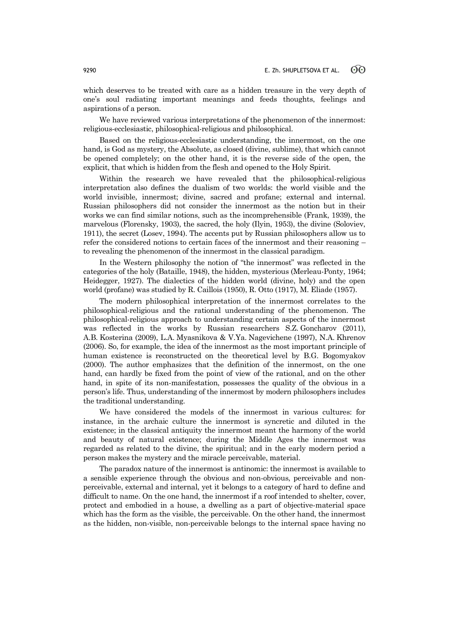which deserves to be treated with care as a hidden treasure in the very depth of one's soul radiating important meanings and feeds thoughts, feelings and aspirations of a person.

We have reviewed various interpretations of the phenomenon of the innermost: religious-ecclesiastic, philosophical-religious and philosophical.

Based on the religious-ecclesiastic understanding, the innermost, on the one hand, is God as mystery, the Absolute, as closed (divine, sublime), that which cannot be opened completely; on the other hand, it is the reverse side of the open, the explicit, that which is hidden from the flesh and opened to the Holy Spirit.

Within the research we have revealed that the philosophical-religious interpretation also defines the dualism of two worlds: the world visible and the world invisible, innermost; divine, sacred and profane; external and internal. Russian philosophers did not consider the innermost as the notion but in their works we can find similar notions, such as the incomprehensible (Frank, 1939), the marvelous (Florensky, 1903), the sacred, the holy (Ilyin, 1953), the divine (Soloviev, 1911), the secret (Losev, 1994). The accents put by Russian philosophers allow us to refer the considered notions to certain faces of the innermost and their reasoning – to revealing the phenomenon of the innermost in the classical paradigm.

In the Western philosophy the notion of "the innermost" was reflected in the categories of the holy (Bataille, 1948), the hidden, mysterious (Merleau-Ponty, 1964; Heidegger, 1927). The dialectics of the hidden world (divine, holy) and the open world (profane) was studied by R. Caillois (1950), R. Otto (1917), М. Eliade (1957).

The modern philosophical interpretation of the innermost correlates to the philosophical-religious and the rational understanding of the phenomenon. The philosophical-religious approach to understanding certain aspects of the innermost was reflected in the works by Russian researchers S.Z. Goncharov (2011), A.B. Kosterina (2009), L.A. Myasnikova & V.Ya. Nagevichene (1997), N.A. Khrenov (2006). So, for example, the idea of the innermost as the most important principle of human existence is reconstructed on the theoretical level by B.G. Bogomyakov (2000). The author emphasizes that the definition of the innermost, on the one hand, can hardly be fixed from the point of view of the rational, and on the other hand, in spite of its non-manifestation, possesses the quality of the obvious in a person's life. Thus, understanding of the innermost by modern philosophers includes the traditional understanding.

We have considered the models of the innermost in various cultures: for instance, in the archaic culture the innermost is syncretic and diluted in the existence; in the classical antiquity the innermost meant the harmony of the world and beauty of natural existence; during the Middle Ages the innermost was regarded as related to the divine, the spiritual; and in the early modern period a person makes the mystery and the miracle perceivable, material.

The paradox nature of the innermost is antinomic: the innermost is available to a sensible experience through the obvious and non-obvious, perceivable and nonperceivable, external and internal, yet it belongs to a category of hard to define and difficult to name. On the one hand, the innermost if a roof intended to shelter, cover, protect and embodied in a house, a dwelling as a part of objective-material space which has the form as the visible, the perceivable. On the other hand, the innermost as the hidden, non-visible, non-perceivable belongs to the internal space having no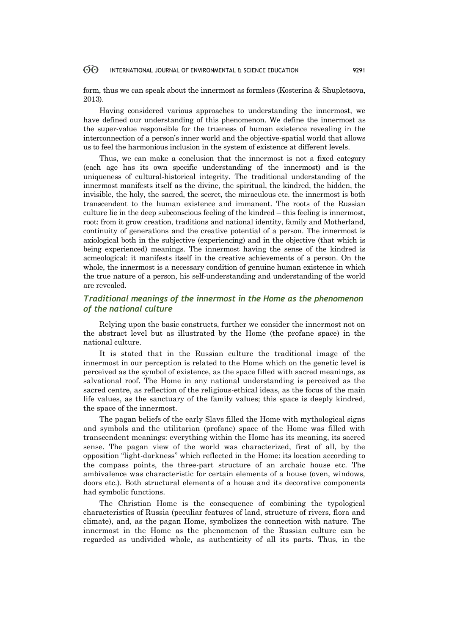form, thus we can speak about the innermost as formless (Kosterina & Shupletsova, 2013).

Having considered various approaches to understanding the innermost, we have defined our understanding of this phenomenon. We define the innermost as the super-value responsible for the trueness of human existence revealing in the interconnection of a person's inner world and the objective-spatial world that allows us to feel the harmonious inclusion in the system of existence at different levels.

Thus, we can make a conclusion that the innermost is not a fixed category (each age has its own specific understanding of the innermost) and is the uniqueness of cultural-historical integrity. The traditional understanding of the innermost manifests itself as the divine, the spiritual, the kindred, the hidden, the invisible, the holy, the sacred, the secret, the miraculous etc. the innermost is both transcendent to the human existence and immanent. The roots of the Russian culture lie in the deep subconscious feeling of the kindred – this feeling is innermost, root: from it grow creation, traditions and national identity, family and Motherland, continuity of generations and the creative potential of a person. The innermost is axiological both in the subjective (experiencing) and in the objective (that which is being experienced) meanings. The innermost having the sense of the kindred is acmeological: it manifests itself in the creative achievements of a person. On the whole, the innermost is a necessary condition of genuine human existence in which the true nature of a person, his self-understanding and understanding of the world are revealed.

## *Traditional meanings of the innermost in the Home as the phenomenon of the national culture*

Relying upon the basic constructs, further we consider the innermost not on the abstract level but as illustrated by the Home (the profane space) in the national culture.

It is stated that in the Russian culture the traditional image of the innermost in our perception is related to the Home which on the genetic level is perceived as the symbol of existence, as the space filled with sacred meanings, as salvational roof. The Home in any national understanding is perceived as the sacred centre, as reflection of the religious-ethical ideas, as the focus of the main life values, as the sanctuary of the family values; this space is deeply kindred, the space of the innermost.

The pagan beliefs of the early Slavs filled the Home with mythological signs and symbols and the utilitarian (profane) space of the Home was filled with transcendent meanings: everything within the Home has its meaning, its sacred sense. The pagan view of the world was characterized, first of all, by the opposition "light-darkness" which reflected in the Home: its location according to the compass points, the three-part structure of an archaic house etc. The ambivalence was characteristic for certain elements of a house (oven, windows, doors etc.). Both structural elements of a house and its decorative components had symbolic functions.

The Christian Home is the consequence of combining the typological characteristics of Russia (peculiar features of land, structure of rivers, flora and climate), and, as the pagan Home, symbolizes the connection with nature. The innermost in the Home as the phenomenon of the Russian culture can be regarded as undivided whole, as authenticity of all its parts. Thus, in the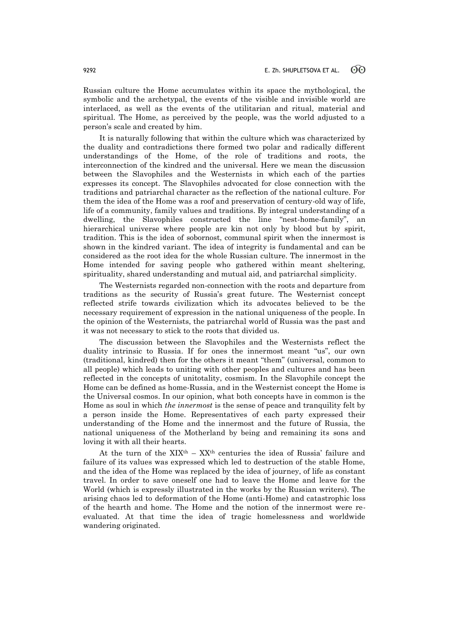Russian culture the Home accumulates within its space the mythological, the symbolic and the archetypal, the events of the visible and invisible world are interlaced, as well as the events of the utilitarian and ritual, material and spiritual. The Home, as perceived by the people, was the world adjusted to a person's scale and created by him.

It is naturally following that within the culture which was characterized by the duality and contradictions there formed two polar and radically different understandings of the Home, of the role of traditions and roots, the interconnection of the kindred and the universal. Here we mean the discussion between the Slavophiles and the Westernists in which each of the parties expresses its concept. The Slavophiles advocated for close connection with the traditions and patriarchal character as the reflection of the national culture. For them the idea of the Home was a roof and preservation of century-old way of life, life of a community, family values and traditions. By integral understanding of a dwelling, the Slavophiles constructed the line "nest-home-family", an hierarchical universe where people are kin not only by blood but by spirit, tradition. This is the idea of sobornost, communal spirit when the innermost is shown in the kindred variant. The idea of integrity is fundamental and can be considered as the root idea for the whole Russian culture. The innermost in the Home intended for saving people who gathered within meant sheltering, spirituality, shared understanding and mutual aid, and patriarchal simplicity.

The Westernists regarded non-connection with the roots and departure from traditions as the security of Russia's great future. The Westernist concept reflected strife towards civilization which its advocates believed to be the necessary requirement of expression in the national uniqueness of the people. In the opinion of the Westernists, the patriarchal world of Russia was the past and it was not necessary to stick to the roots that divided us.

The discussion between the Slavophiles and the Westernists reflect the duality intrinsic to Russia. If for ones the innermost meant "us", our own (traditional, kindred) then for the others it meant "them" (universal, common to all people) which leads to uniting with other peoples and cultures and has been reflected in the concepts of unitotality, cosmism. In the Slavophile concept the Home can be defined as home-Russia, and in the Westernist concept the Home is the Universal cosmos. In our opinion, what both concepts have in common is the Home as soul in which *the innermost* is the sense of peace and tranquility felt by a person inside the Home. Representatives of each party expressed their understanding of the Home and the innermost and the future of Russia, the national uniqueness of the Motherland by being and remaining its sons and loving it with all their hearts.

At the turn of the  $XIX<sup>th</sup> - XX<sup>th</sup>$  centuries the idea of Russia' failure and failure of its values was expressed which led to destruction of the stable Home, and the idea of the Home was replaced by the idea of journey, of life as constant travel. In order to save oneself one had to leave the Home and leave for the World (which is expressly illustrated in the works by the Russian writers). The arising chaos led to deformation of the Home (anti-Home) and catastrophic loss of the hearth and home. The Home and the notion of the innermost were reevaluated. At that time the idea of tragic homelessness and worldwide wandering originated.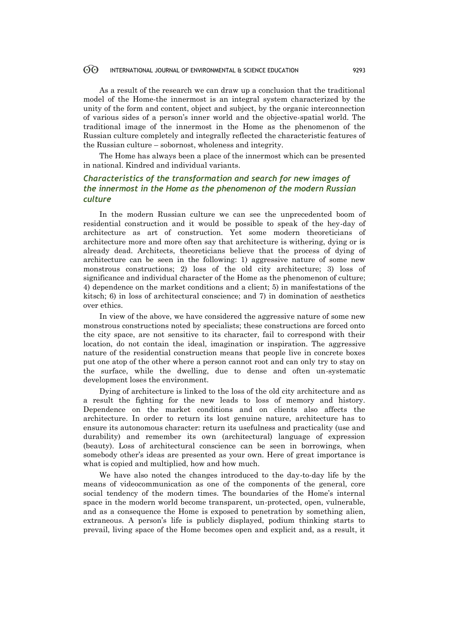As a result of the research we can draw up a conclusion that the traditional model of the Home-the innermost is an integral system characterized by the unity of the form and content, object and subject, by the organic interconnection of various sides of a person's inner world and the objective-spatial world. The traditional image of the innermost in the Home as the phenomenon of the Russian culture completely and integrally reflected the characteristic features of the Russian culture – sobornost, wholeness and integrity.

The Home has always been a place of the innermost which can be presented in national. Kindred and individual variants.

## *Characteristics of the transformation and search for new images of the innermost in the Home as the phenomenon of the modern Russian culture*

In the modern Russian culture we can see the unprecedented boom of residential construction and it would be possible to speak of the hey-day of architecture as art of construction. Yet some modern theoreticians of architecture more and more often say that architecture is withering, dying or is already dead. Architects, theoreticians believe that the process of dying of architecture can be seen in the following: 1) aggressive nature of some new monstrous constructions; 2) loss of the old city architecture; 3) loss of significance and individual character of the Home as the phenomenon of culture; 4) dependence on the market conditions and a client; 5) in manifestations of the kitsch; 6) in loss of architectural conscience; and 7) in domination of aesthetics over ethics.

In view of the above, we have considered the aggressive nature of some new monstrous constructions noted by specialists; these constructions are forced onto the city space, are not sensitive to its character, fail to correspond with their location, do not contain the ideal, imagination or inspiration. The aggressive nature of the residential construction means that people live in concrete boxes put one atop of the other where a person cannot root and can only try to stay on the surface, while the dwelling, due to dense and often un-systematic development loses the environment.

Dying of architecture is linked to the loss of the old city architecture and as a result the fighting for the new leads to loss of memory and history. Dependence on the market conditions and on clients also affects the architecture. In order to return its lost genuine nature, architecture has to ensure its autonomous character: return its usefulness and practicality (use and durability) and remember its own (architectural) language of expression (beauty). Loss of architectural conscience can be seen in borrowings, when somebody other's ideas are presented as your own. Here of great importance is what is copied and multiplied, how and how much.

We have also noted the changes introduced to the day-to-day life by the means of videocommunication as one of the components of the general, core social tendency of the modern times. The boundaries of the Home's internal space in the modern world become transparent, un-protected, open, vulnerable, and as a consequence the Home is exposed to penetration by something alien, extraneous. A person's life is publicly displayed, podium thinking starts to prevail, living space of the Home becomes open and explicit and, as a result, it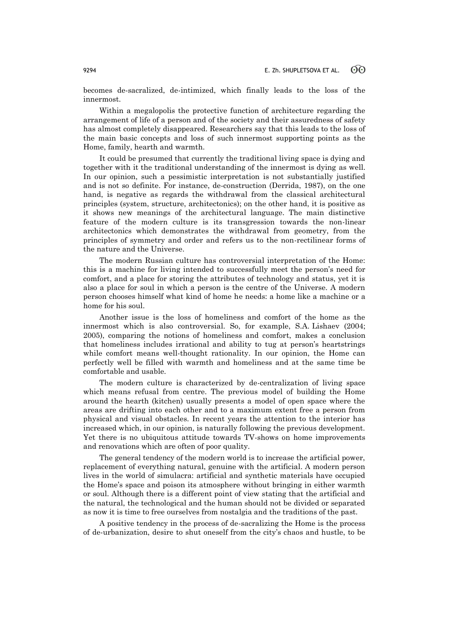becomes de-sacralized, de-intimized, which finally leads to the loss of the innermost.

Within a megalopolis the protective function of architecture regarding the arrangement of life of a person and of the society and their assuredness of safety has almost completely disappeared. Researchers say that this leads to the loss of the main basic concepts and loss of such innermost supporting points as the Home, family, hearth and warmth.

It could be presumed that currently the traditional living space is dying and together with it the traditional understanding of the innermost is dying as well. In our opinion, such a pessimistic interpretation is not substantially justified and is not so definite. For instance, de-construction (Derrida, 1987), on the one hand, is negative as regards the withdrawal from the classical architectural principles (system, structure, architectonics); on the other hand, it is positive as it shows new meanings of the architectural language. The main distinctive feature of the modern culture is its transgression towards the non-linear architectonics which demonstrates the withdrawal from geometry, from the principles of symmetry and order and refers us to the non-rectilinear forms of the nature and the Universe.

The modern Russian culture has controversial interpretation of the Home: this is a machine for living intended to successfully meet the person's need for comfort, and a place for storing the attributes of technology and status, yet it is also a place for soul in which a person is the centre of the Universe. A modern person chooses himself what kind of home he needs: a home like a machine or a home for his soul.

Another issue is the loss of homeliness and comfort of the home as the innermost which is also controversial. So, for example, S.A. Lishaev (2004; 2005), comparing the notions of homeliness and comfort, makes a conclusion that homeliness includes irrational and ability to tug at person's heartstrings while comfort means well-thought rationality. In our opinion, the Home can perfectly well be filled with warmth and homeliness and at the same time be comfortable and usable.

The modern culture is characterized by de-centralization of living space which means refusal from centre. The previous model of building the Home around the hearth (kitchen) usually presents a model of open space where the areas are drifting into each other and to a maximum extent free a person from physical and visual obstacles. In recent years the attention to the interior has increased which, in our opinion, is naturally following the previous development. Yet there is no ubiquitous attitude towards TV-shows on home improvements and renovations which are often of poor quality.

The general tendency of the modern world is to increase the artificial power, replacement of everything natural, genuine with the artificial. A modern person lives in the world of simulacra: artificial and synthetic materials have occupied the Home's space and poison its atmosphere without bringing in either warmth or soul. Although there is a different point of view stating that the artificial and the natural, the technological and the human should not be divided or separated as now it is time to free ourselves from nostalgia and the traditions of the past.

A positive tendency in the process of de-sacralizing the Home is the process of de-urbanization, desire to shut oneself from the city's chaos and hustle, to be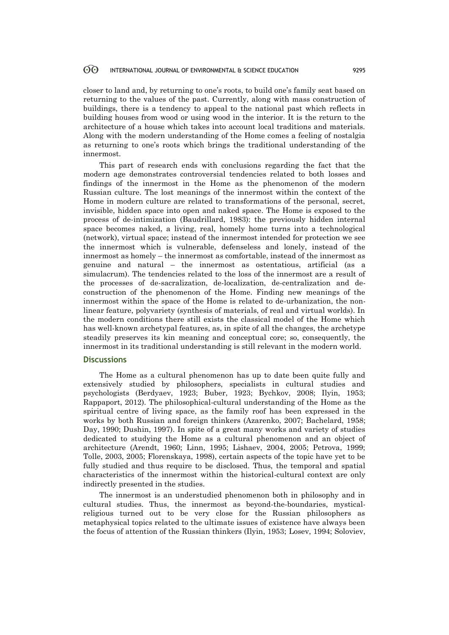closer to land and, by returning to one's roots, to build one's family seat based on returning to the values of the past. Currently, along with mass construction of buildings, there is a tendency to appeal to the national past which reflects in building houses from wood or using wood in the interior. It is the return to the architecture of a house which takes into account local traditions and materials. Along with the modern understanding of the Home comes a feeling of nostalgia as returning to one's roots which brings the traditional understanding of the innermost.

This part of research ends with conclusions regarding the fact that the modern age demonstrates controversial tendencies related to both losses and findings of the innermost in the Home as the phenomenon of the modern Russian culture. The lost meanings of the innermost within the context of the Home in modern culture are related to transformations of the personal, secret, invisible, hidden space into open and naked space. The Home is exposed to the process of de-intimization (Baudrillard, 1983): the previously hidden internal space becomes naked, a living, real, homely home turns into a technological (network), virtual space; instead of the innermost intended for protection we see the innermost which is vulnerable, defenseless and lonely, instead of the innermost as homely – the innermost as comfortable, instead of the innermost as genuine and natural – the innermost as ostentatious, artificial (as a simulacrum). The tendencies related to the loss of the innermost are a result of the processes of de-sacralization, de-localization, de-centralization and deconstruction of the phenomenon of the Home. Finding new meanings of the innermost within the space of the Home is related to de-urbanization, the nonlinear feature, polyvariety (synthesis of materials, of real and virtual worlds). In the modern conditions there still exists the classical model of the Home which has well-known archetypal features, as, in spite of all the changes, the archetype steadily preserves its kin meaning and conceptual core; so, consequently, the innermost in its traditional understanding is still relevant in the modern world.

## **Discussions**

The Home as a cultural phenomenon has up to date been quite fully and extensively studied by philosophers, specialists in cultural studies and psychologists (Berdyaev, 1923; Buber, 1923; Bychkov, 2008; Ilyin, 1953; Rappaport, 2012). The philosophical-cultural understanding of the Home as the spiritual centre of living space, as the family roof has been expressed in the works by both Russian and foreign thinkers (Azarenko, 2007; Bachelard, 1958; Day, 1990; Dushin, 1997). In spite of a great many works and variety of studies dedicated to studying the Home as a cultural phenomenon and an object of architecture (Arendt, 1960; Linn, 1995; Lishaev, 2004, 2005; Petrova, 1999; Tolle, 2003, 2005; Florenskaya, 1998), certain aspects of the topic have yet to be fully studied and thus require to be disclosed. Thus, the temporal and spatial characteristics of the innermost within the historical-cultural context are only indirectly presented in the studies.

The innermost is an understudied phenomenon both in philosophy and in cultural studies. Thus, the innermost as beyond-the-boundaries, mysticalreligious turned out to be very close for the Russian philosophers as metaphysical topics related to the ultimate issues of existence have always been the focus of attention of the Russian thinkers (Ilyin, 1953; Losev, 1994; Soloviev,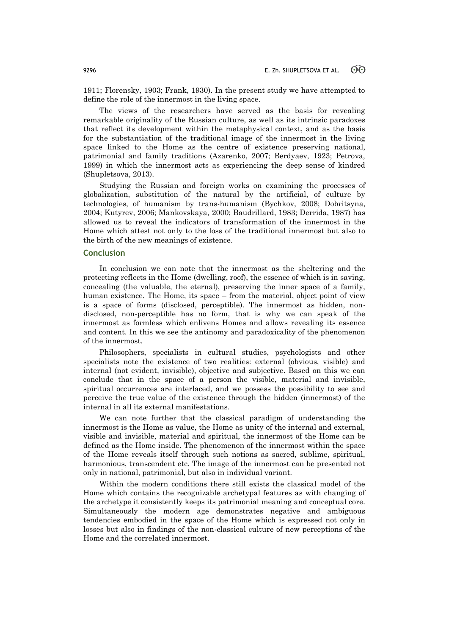1911; Florensky, 1903; Frank, 1930). In the present study we have attempted to define the role of the innermost in the living space.

The views of the researchers have served as the basis for revealing remarkable originality of the Russian culture, as well as its intrinsic paradoxes that reflect its development within the metaphysical context, and as the basis for the substantiation of the traditional image of the innermost in the living space linked to the Home as the centre of existence preserving national, patrimonial and family traditions (Azarenko, 2007; Berdyaev, 1923; Petrova, 1999) in which the innermost acts as experiencing the deep sense of kindred (Shupletsova, 2013).

Studying the Russian and foreign works on examining the processes of globalization, substitution of the natural by the artificial, of culture by technologies, of humanism by trans-humanism (Bychkov, 2008; Dobritsyna, 2004; Kutyrev, 2006; Mankovskaya, 2000; Baudrillard, 1983; Derrida, 1987) has allowed us to reveal the indicators of transformation of the innermost in the Home which attest not only to the loss of the traditional innermost but also to the birth of the new meanings of existence.

## **Conclusion**

In conclusion we can note that the innermost as the sheltering and the protecting reflects in the Home (dwelling, roof), the essence of which is in saving, concealing (the valuable, the eternal), preserving the inner space of a family, human existence. The Home, its space – from the material, object point of view is a space of forms (disclosed, perceptible). The innermost as hidden, nondisclosed, non-perceptible has no form, that is why we can speak of the innermost as formless which enlivens Homes and allows revealing its essence and content. In this we see the antinomy and paradoxicality of the phenomenon of the innermost.

Philosophers, specialists in cultural studies, psychologists and other specialists note the existence of two realities: external (obvious, visible) and internal (not evident, invisible), objective and subjective. Based on this we can conclude that in the space of a person the visible, material and invisible, spiritual occurrences are interlaced, and we possess the possibility to see and perceive the true value of the existence through the hidden (innermost) of the internal in all its external manifestations.

We can note further that the classical paradigm of understanding the innermost is the Home as value, the Home as unity of the internal and external, visible and invisible, material and spiritual, the innermost of the Home can be defined as the Home inside. The phenomenon of the innermost within the space of the Home reveals itself through such notions as sacred, sublime, spiritual, harmonious, transcendent etc. The image of the innermost can be presented not only in national, patrimonial, but also in individual variant.

Within the modern conditions there still exists the classical model of the Home which contains the recognizable archetypal features as with changing of the archetype it consistently keeps its patrimonial meaning and conceptual core. Simultaneously the modern age demonstrates negative and ambiguous tendencies embodied in the space of the Home which is expressed not only in losses but also in findings of the non-classical culture of new perceptions of the Home and the correlated innermost.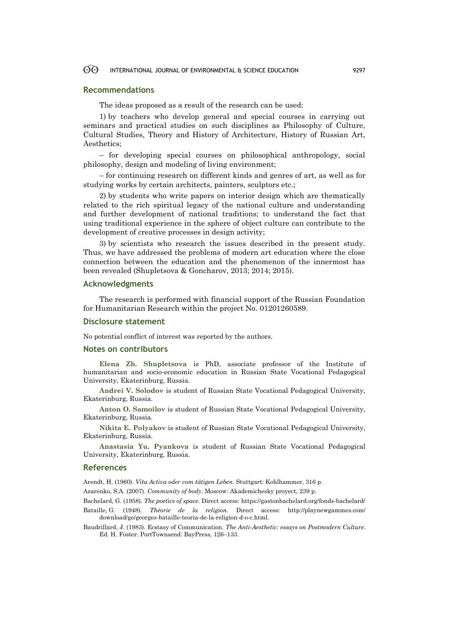## **Recommendations**

The ideas proposed as a result of the research can be used:

1) by teachers who develop general and special courses in carrying out seminars and practical studies on such disciplines as Philosophy of Culture, Cultural Studies, Theory and History of Architecture, History of Russian Art, Aesthetics;

– for developing special courses on philosophical anthropology, social philosophy, design and modeling of living environment;

– for continuing research on different kinds and genres of art, as well as for studying works by certain architects, painters, sculptors etc.;

2) by students who write papers on interior design which are thematically related to the rich spiritual legacy of the national culture and understanding and further development of national traditions; to understand the fact that using traditional experience in the sphere of object culture can contribute to the development of creative processes in design activity;

3) by scientists who research the issues described in the present study. Thus, we have addressed the problems of modern art education where the close connection between the education and the phenomenon of the innermost has been revealed (Shupletsova & Goncharov, 2013; 2014; 2015).

## **Acknowledgments**

The research is performed with financial support of the Russian Foundation for Humanitarian Research within the project No. 01201260589.

## **Disclosure statement**

No potential conflict of interest was reported by the authors.

## **Notes on contributors**

**Elena Zh. Shupletsova** is PhD, associate professor of the Institute of humanitarian and socio-economic education in Russian State Vocational Pedagogical University, Ekaterinburg, Russia.

**Andrei V. Solodov** is student of Russian State Vocational Pedagogical University, Ekaterinburg, Russia.

**Anton O. Samoilov** is student of Russian State Vocational Pedagogical University, Ekaterinburg, Russia.

**Nikita E. Polyakov** is student of Russian State Vocational Pedagogical University, Ekaterinburg, Russia.

**Anastasia Yu. Pyankova** is student of Russian State Vocational Pedagogical University, Ekaterinburg, Russia.

### **References**

Arendt, H. (1960). *Vita Activa oder vom tätigen Leben*. Stuttgart: Kohlhammer, 316 p.

Azarenko, S.A. (2007). *Community of body*. Moscow: Akademichesky proyect, 239 p.

Bachelard, G. (1958). *The poetics of space*. Direct access: https://gastonbachelard.org/fonds-bachelard/ Bataille, G. (1948). *Théorie de la religion.* Direct access: http://playnewgammes.com/ download/ge/georges-bataille-teoria-de-la-religion-d-o-c.html.

Baudrillard, J. (1983). Ecstasy of Communication. *The Anti-Aesthetic: essays on Postmodern Culture*. Ed. H. Foster. PortTownsend: BayPress, 126–133.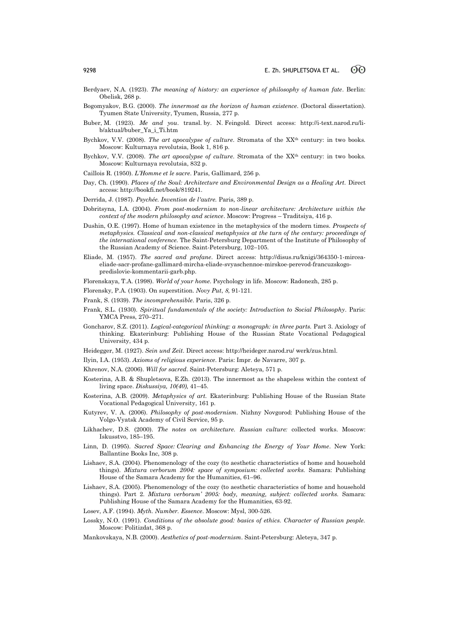- Berdyaev, N.A. (1923). *The meaning of history: an experience of philosophy of human fate*. Berlin: Obelisk, 268 p.
- Bogomyakov, B.G. (2000). *The innermost as the horizon of human existence*. (Doctoral dissertation). Tyumen State University, Tyumen, Russia, 277 p.
- Buber, М. (1923). *Me and you*. transl. by. N. Feingold. Direct access: http://i-text.narod.ru/lib/aktual/buber\_Ya\_i\_Ti.htm
- Bychkov, V.V. (2008). *The art apocalypse of culture*. Stromata of the XX<sup>th</sup> century: in two books. Moscow: Kulturnaya revolutsia, Book 1, 816 p.
- Bychkov, V.V. (2008). *The art apocalypse of culture*. Stromata of the XX<sup>th</sup> century: in two books. Moscow: Kulturnaya revolutsia, 832 p.
- Caillois R. (1950). *L'Homme et le sacre*. Paris, Gallimard, 256 p.
- Day, Ch. (1990). *Places of the Soul: Architecture and Environmental Design as a Healing Art.* Direct access: http://bookfi.net/book/819241.
- Derrida, J. (1987). *Psychée. Invention de l'autre.* Paris, 389 р.
- Dobritsyna, I.A. (2004). *From post-modernism to non-linear architecture: Architecture within the context of the modern philosophy and science*. Moscow: Progress – Traditsiya, 416 p.
- Dushin, O.E. (1997). Home of human existence in the metaphysics of the modern times. *Prospects of metaphysics. Classical and non-classical metaphysics at the turn of the century: proceedings of the international conference*. The Saint-Petersburg Department of the Institute of Philosophy of the Russian Academy of Science. Saint-Petersburg, 102–105.
- Eliade, M. (1957). *The sacred and profane*. Direct access: http://disus.ru/knigi/364350-1-mirceaeliade-sacr-profane-gallimard-mircha-eliade-svyaschennoe-mirskoe-perevod-francuzskogopredislovie-kommentarii-garb.php.
- Florenskaya, T.A. (1998). *World of your home*. Psychology in life. Moscow: Radonezh, 285 p.
- Florensky, P.A. (1903). On superstition. *Novy Put*, *8,* 91-121.
- Frank, S. (1939). *The incomprehensible*. Paris, 326 p.
- Frank, S.L. (1930). *Spiritual fundamentals of the society: Introduction to Social Philosophy*. Рaris: YMCA Press, 270–271.
- Goncharov, S.Z. (2011). *Logical-categorical thinking: a monograph: in three parts.* Part 3. Axiology of thinking. Ekaterinburg: Publishing House of the Russian State Vocational Pedagogical University, 434 p.
- Heidegger, М. (1927). *Sein und Zeit*. Direct access: http://heideger.narod.ru/ werk/zus.html.
- Ilyin, I.A. (1953). *Axioms of religious experience*. Paris: Impr. de Navarre, 307 p.
- Khrenov, N.A. (2006). *Will for sacred*. Saint-Petersburg: Aleteya, 571 p.
- Kosterina, A.B. & Shupletsova, E.Zh. (2013). The innermost as the shapeless within the context of living space. *Diskussiya, 10(40),* 41–45.
- Kosterina, A.B. (2009). *Metaphysics of art.* Ekaterinburg: Publishing House of the Russian State Vocational Pedagogical University, 161 p.
- Kutyrev, V. A. (2006). *Philosophy of post-modernism*. Nizhny Novgorod: Publishing House of the Volgo-Vyatsk Academy of Civil Service, 95 p.
- Likhachev, D.S. (2000). *The notes on architecture. Russian culture:* collected works. Moscow: Iskusstvo, 185–195.
- Linn, D. (1995). *Sacred Space: Clearing and Enhancing the Energy of Your Home*. New York: Ballantine Books Inc, 308 p.
- Lishaev, S.A. (2004). Phenomenology of the cozy (to aesthetic characteristics of home and household things). *Mixtura verborum 2004: space of symposium: collected works.* Samara: Publishing House of the Samara Academy for the Humanities, 61–96.
- Lishaev, S.A. (2005). Phenomenology of the cozy (to aesthetic characteristics of home and household things). Part 2. *Mixtura verborum' 2005: body, meaning, subject: collected works.* Samara: Publishing House of the Samara Academy for the Humanities, 63-92.
- Losev, A.F. (1994). *Myth. Number. Essence*. Moscow: Mysl, 300-526.
- Lossky, N.O. (1991). *Conditions of the absolute good: basics of ethics. Character of Russian people.* Moscow: Politizdat, 368 p.
- Mankovskaya, N.B. (2000). *Aesthetics of post-modernism*. Saint-Petersburg: Aleteya, 347 p.